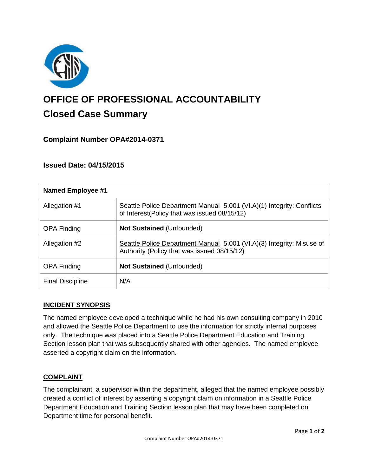

# **OFFICE OF PROFESSIONAL ACCOUNTABILITY Closed Case Summary**

# **Complaint Number OPA#2014-0371**

## **Issued Date: 04/15/2015**

| <b>Named Employee #1</b> |                                                                                                                       |
|--------------------------|-----------------------------------------------------------------------------------------------------------------------|
| Allegation #1            | Seattle Police Department Manual 5.001 (VI.A)(1) Integrity: Conflicts<br>of Interest(Policy that was issued 08/15/12) |
| <b>OPA Finding</b>       | <b>Not Sustained (Unfounded)</b>                                                                                      |
| Allegation #2            | Seattle Police Department Manual 5.001 (VI.A)(3) Integrity: Misuse of<br>Authority (Policy that was issued 08/15/12)  |
| <b>OPA Finding</b>       | <b>Not Sustained (Unfounded)</b>                                                                                      |
| <b>Final Discipline</b>  | N/A                                                                                                                   |

## **INCIDENT SYNOPSIS**

The named employee developed a technique while he had his own consulting company in 2010 and allowed the Seattle Police Department to use the information for strictly internal purposes only. The technique was placed into a Seattle Police Department Education and Training Section lesson plan that was subsequently shared with other agencies. The named employee asserted a copyright claim on the information.

## **COMPLAINT**

The complainant, a supervisor within the department, alleged that the named employee possibly created a conflict of interest by asserting a copyright claim on information in a Seattle Police Department Education and Training Section lesson plan that may have been completed on Department time for personal benefit.